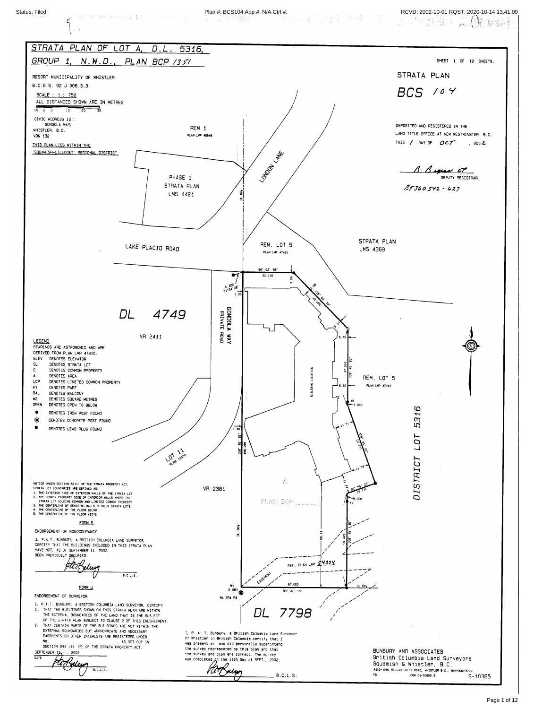

Page 1 of 12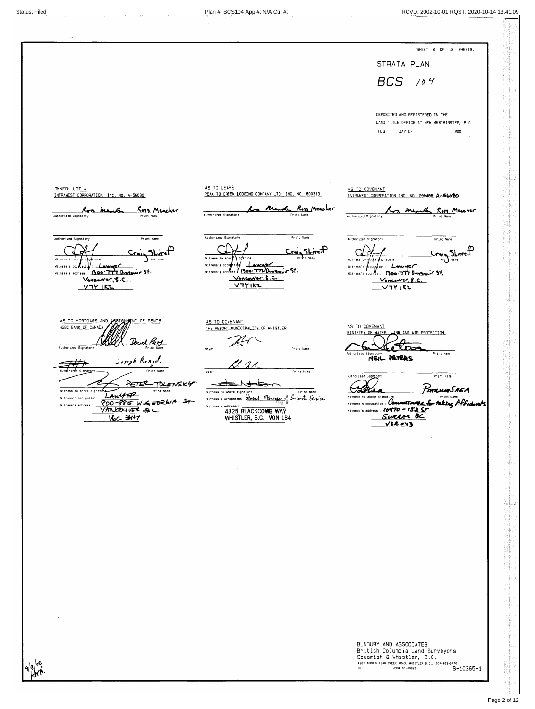# Status: Filed Plan #: BCS104 App #: N/A Ctrl #: RCVD: 2002-10-01 RQST: 2020-10-14 13.41.09

|                                                                                                                         |                                                                                                         | SHEET 2 OF<br>12 SHEETS.                                                                                             |  |  |
|-------------------------------------------------------------------------------------------------------------------------|---------------------------------------------------------------------------------------------------------|----------------------------------------------------------------------------------------------------------------------|--|--|
|                                                                                                                         |                                                                                                         | STRATA PLAN                                                                                                          |  |  |
|                                                                                                                         |                                                                                                         | $BCS$ /04                                                                                                            |  |  |
|                                                                                                                         |                                                                                                         | DEPOSITED AND REGISTERED IN THE<br>LAND TITLE OFFICE AT NEW WESTMINSTER, B.C.                                        |  |  |
|                                                                                                                         |                                                                                                         | <b>THIS</b><br>DAY OF<br>$, 200$ .                                                                                   |  |  |
| OWNER: LOT A                                                                                                            | AS TO LEASE                                                                                             |                                                                                                                      |  |  |
| INTRAWEST CORPORATION, Inc. No. A-56080<br>Ross Meacher<br>Ross Meuber                                                  | PEAK TO CREEK LODGING COMPANY LTD. INC. NO. 600319<br>to Med Ross Marcher                               | AS TO COVENANT<br>INTRAWEST CORPORATION INC. ND. 200486 A-56000<br>An member Ross Member                             |  |  |
| Authorized Signatory<br>Print Name<br>Authorized Signatory<br>Print Name<br>Witness to above signature<br>Print Name    | Authorized Signatory<br>Print Name<br>Authorized Signatory<br>Print Name<br>Witness to above aignature  | Authorized Signatory<br>Print Name<br>Authorized Signatory<br>Print Name<br>Witness to poole signature<br>Prin) Name |  |  |
| Witness's $occ$ $f$ atiq $f$ : $L$ and $C$<br>Witness's address : 1300 777 Dunsmur St.<br><u>Vancaver, B.C.</u><br>Y74K | Witness's occupatible: Lawyer<br>Witness's address / 1300. TTVDunsmyw St.<br>Vancouver, f. C.<br>V771K2 | Witness's occupation: Lawner<br>Witness's address: 1300: 777 Dungmuir St.<br><u>Vancouver, B.C.</u><br><u>V74 K2</u> |  |  |
| AS TO MORTGAGE AND ASSIGNMENT OF RENTS<br>HSBC BANK OF CANADA<br>Authorized Signatory<br>Print Name                     | AS TO COVENANT<br>THE RESORT MUNICIPALITY OF WHISTLER<br>Print Name<br>Mayon                            | AS TO COVENANT<br>MINISTRY OF WATER, LAND AND AIR PROTECTION                                                         |  |  |

| VETER TOLENSKY                                     |                                                            |                                                          |
|----------------------------------------------------|------------------------------------------------------------|----------------------------------------------------------|
| Witness to above signature<br>Print Name           | <b>Print Name</b><br>Witness to above signature            | FATRICAS NE A                                            |
| Witness's occupation                               | Mitness's occupation: Connect Manigland Corporate Services | Witness to above signature<br>Print Name                 |
| $800 - 885$ W. $65026.4$ St<br>Witness's address : | Witness's address                                          | Witness's occupation: Commissioner for taking Affidavits |
| VANDOUVER A                                        | 4325 BLACKCOMB WAY                                         | Witness's address : (0470 - 152 SF                       |
|                                                    | WHISTLER, B.C. VON 1B4                                     | Surcer BC                                                |
|                                                    |                                                            | <b>V32043</b>                                            |

 $\sim$   $\alpha$ 

 $\sim 10$ 

 $q|y|$ or

BUNBURY AND ASSOCIATES British Columbia Land Surveyors<br>Squamish & Whistler, B.C.<br>\*203-1080 MILLAR CREEK ROAD, WHISTLER 8.C., 604-932-3770  $S-10365-1$  $FB.$ J0B# 01-00821.

 $\sim 10^{-10}$ 

議 

 $\frac{1}{2}$  ap

t û

TN.

海县 61

도움 3

₩.

 $\label{eq:4} \begin{aligned} \mathcal{L}_{\text{M}} = \frac{1}{2} \sum_{i=1}^{N} \mathcal{L}_{\text{M}} \mathcal{L}_{\text{M}} \mathcal{L}_{\text{M}} \mathcal{L}_{\text{M}} \mathcal{L}_{\text{M}} \mathcal{L}_{\text{M}} \mathcal{L}_{\text{M}} \mathcal{L}_{\text{M}} \mathcal{L}_{\text{M}} \mathcal{L}_{\text{M}} \mathcal{L}_{\text{M}} \mathcal{L}_{\text{M}} \mathcal{L}_{\text{M}} \mathcal{L}_{\text{M}} \mathcal{L}_{\text{M}} \mathcal{L}_{\text{M}} \mathcal$ 

> in. -17

 $\mathbf{x}_1$  spe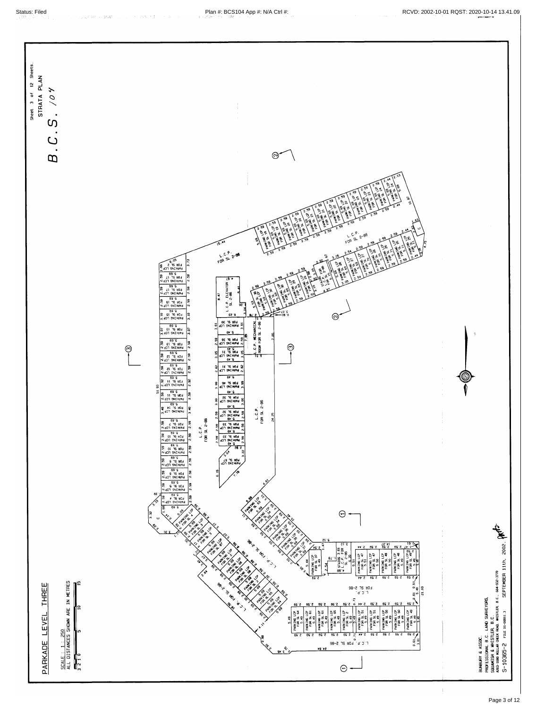protection and the protection of

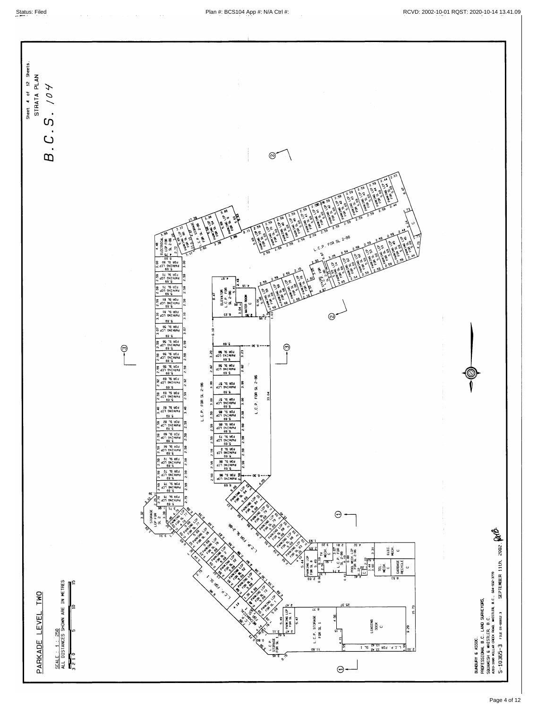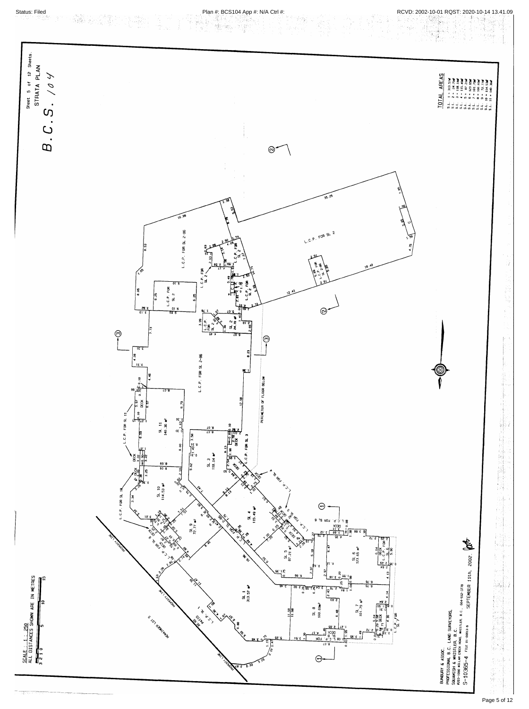



Page 5 of 12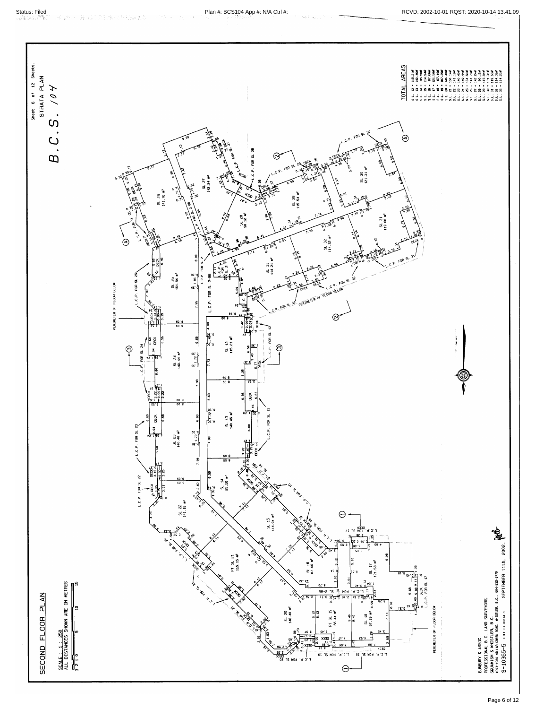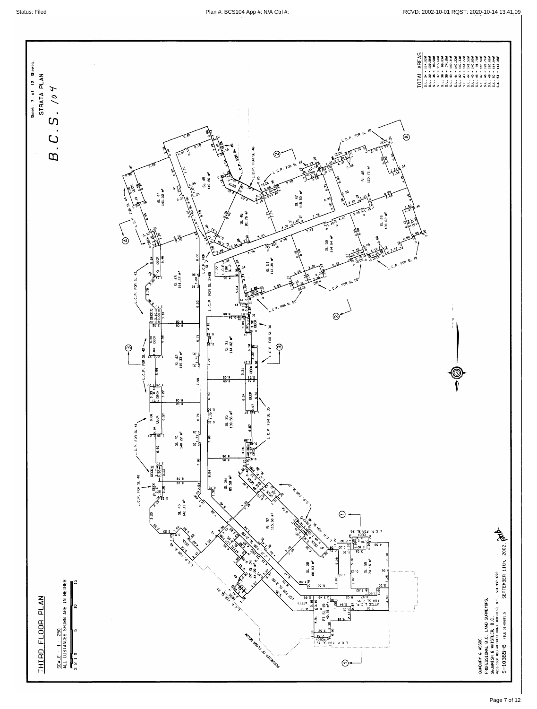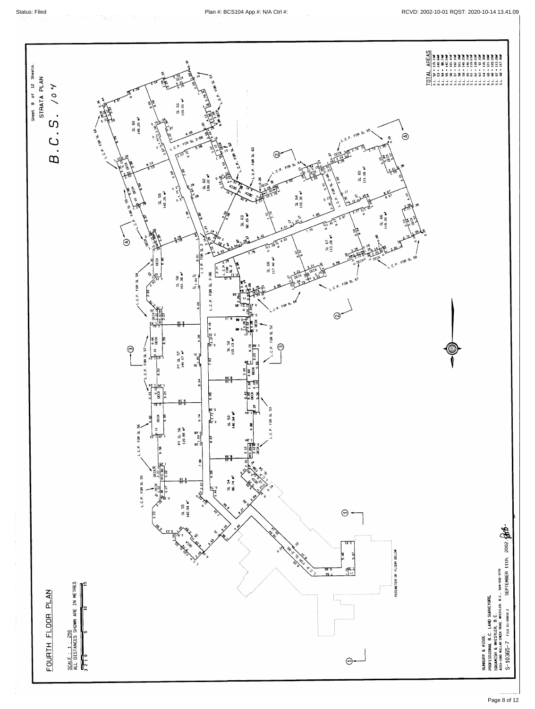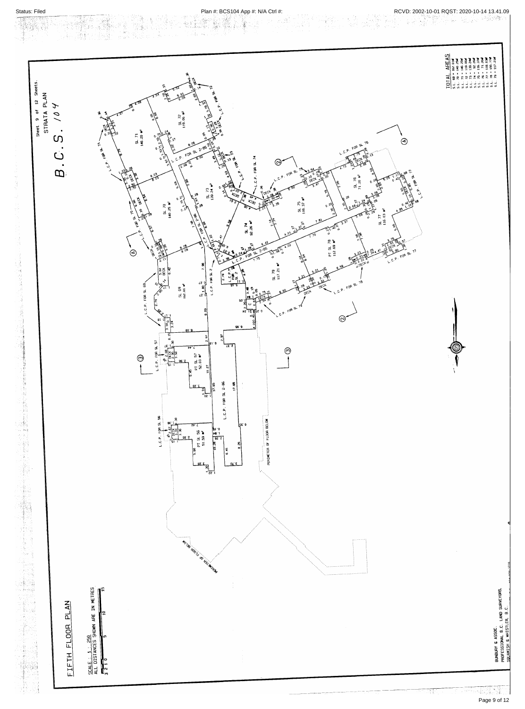$\sim 5$ 

an ang Military<br>Pangangang

ti (1938)<br>1941 - Paul

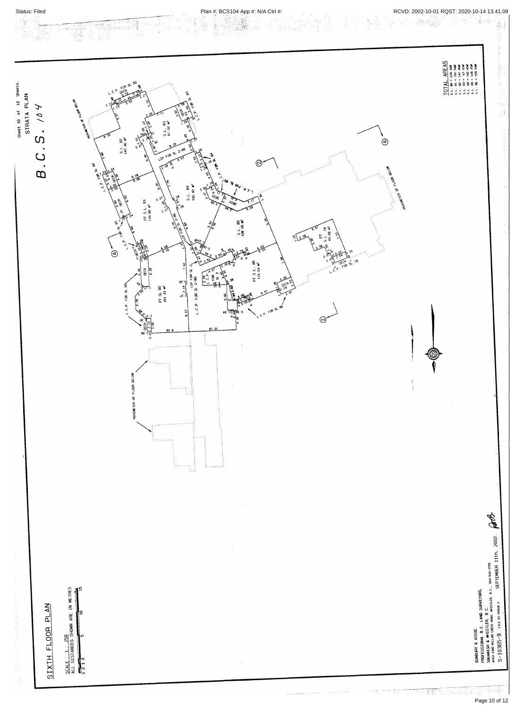

Page 10 of 12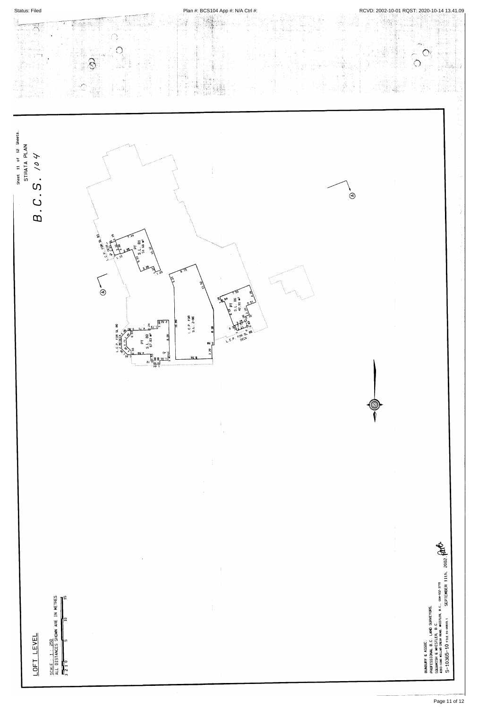|  |  | <b>Status: Filed</b> |
|--|--|----------------------|
|  |  |                      |

## RCVD: 2002-10-01 RQST: 2020-10-14 13.41.09



# LOFT LEVEL

SCALE :  $1 : 250$ <br>ALL DISTANCES SHOWN ARE IN METRES<br> $\frac{1}{3}$  2 1 0

 $\langle \Psi \rangle$ 

 $\sim$ 

 $\sim$   $\sim$ 

5918

 $\begin{array}{c} 1 \\ 1 \\ 1 \\ 1 \end{array}$ 

 $\mathbf{j}$ 

 $\begin{array}{c} 1 \\ 1 \\ 1 \end{array}$ 

医生理术 医体  $\langle \pm \rangle$ 



Page 11 of 12

SEPTEMBER 11th. 2002.